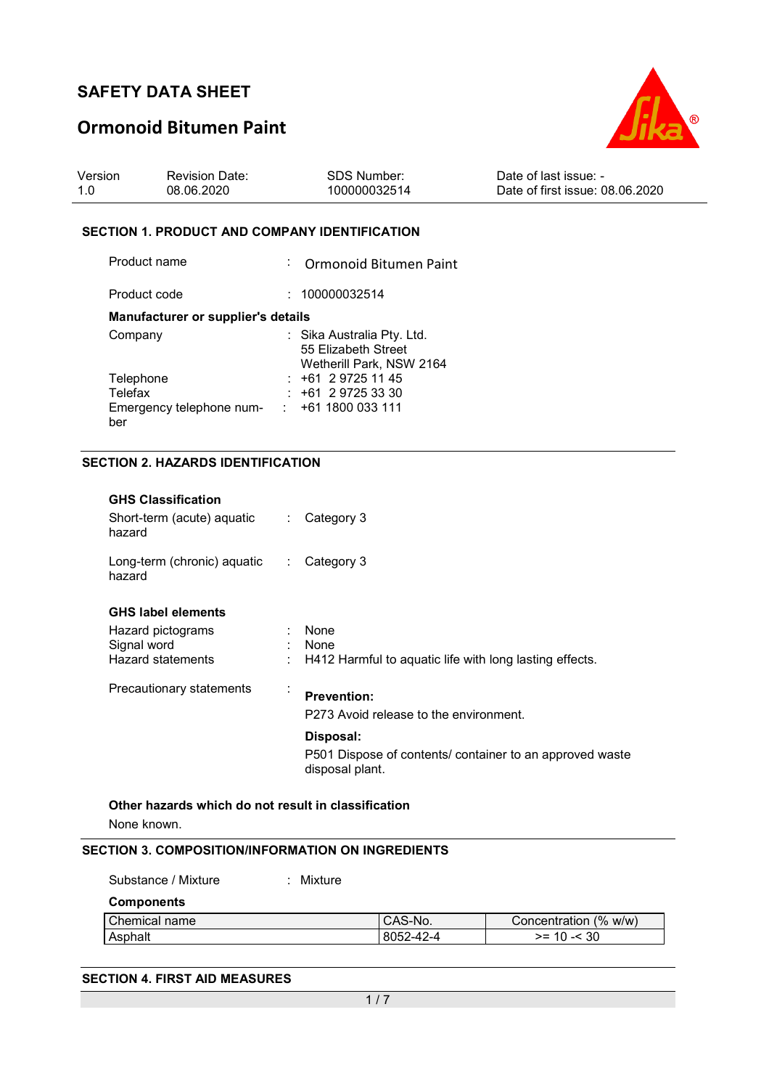# **Ormonoid Bitumen Paint**



| Version | <b>Revision Date:</b> | SDS Number:  | Date of last issue: -           |
|---------|-----------------------|--------------|---------------------------------|
|         | 08.06.2020            | 100000032514 | Date of first issue: 08.06.2020 |

#### **SECTION 1. PRODUCT AND COMPANY IDENTIFICATION**

| Product name                       | : Ormonoid Bitumen Paint                                                      |
|------------------------------------|-------------------------------------------------------------------------------|
| Product code                       | : 100000032514                                                                |
| Manufacturer or supplier's details |                                                                               |
| Company                            | : Sika Australia Pty. Ltd.<br>55 Elizabeth Street<br>Wetherill Park, NSW 2164 |
| Telephone                          | $: +61297251145$                                                              |
| Telefax                            | $: +61297253330$                                                              |
| Emergency telephone num-<br>ber    | : 1611800033111                                                               |

### **SECTION 2. HAZARDS IDENTIFICATION**

| None known.                                                       |                              |                                                                             |
|-------------------------------------------------------------------|------------------------------|-----------------------------------------------------------------------------|
| Other hazards which do not result in classification               |                              |                                                                             |
|                                                                   |                              | P501 Dispose of contents/ container to an approved waste<br>disposal plant. |
|                                                                   |                              | Disposal:                                                                   |
|                                                                   |                              | P273 Avoid release to the environment.                                      |
| Precautionary statements                                          | ÷                            | <b>Prevention:</b>                                                          |
| Hazard statements                                                 |                              | H412 Harmful to aquatic life with long lasting effects.                     |
| Hazard pictograms<br>Signal word                                  |                              | None<br>None                                                                |
| <b>GHS label elements</b>                                         |                              |                                                                             |
| Long-term (chronic) aquatic<br>hazard                             | $\mathcal{L}_{\mathcal{L}}$  | Category 3                                                                  |
| <b>GHS Classification</b><br>Short-term (acute) aquatic<br>hazard | $\mathcal{L}_{\mathrm{max}}$ | Category 3                                                                  |
|                                                                   |                              |                                                                             |

| <b>Components</b> |           |                       |
|-------------------|-----------|-----------------------|
| Chemical name     | CAS-No.   | Concentration (% w/w) |
| Asphalt           | 8052-42-4 | $>= 10 - 30$          |

#### **SECTION 4. FIRST AID MEASURES**

Substance / Mixture : Mixture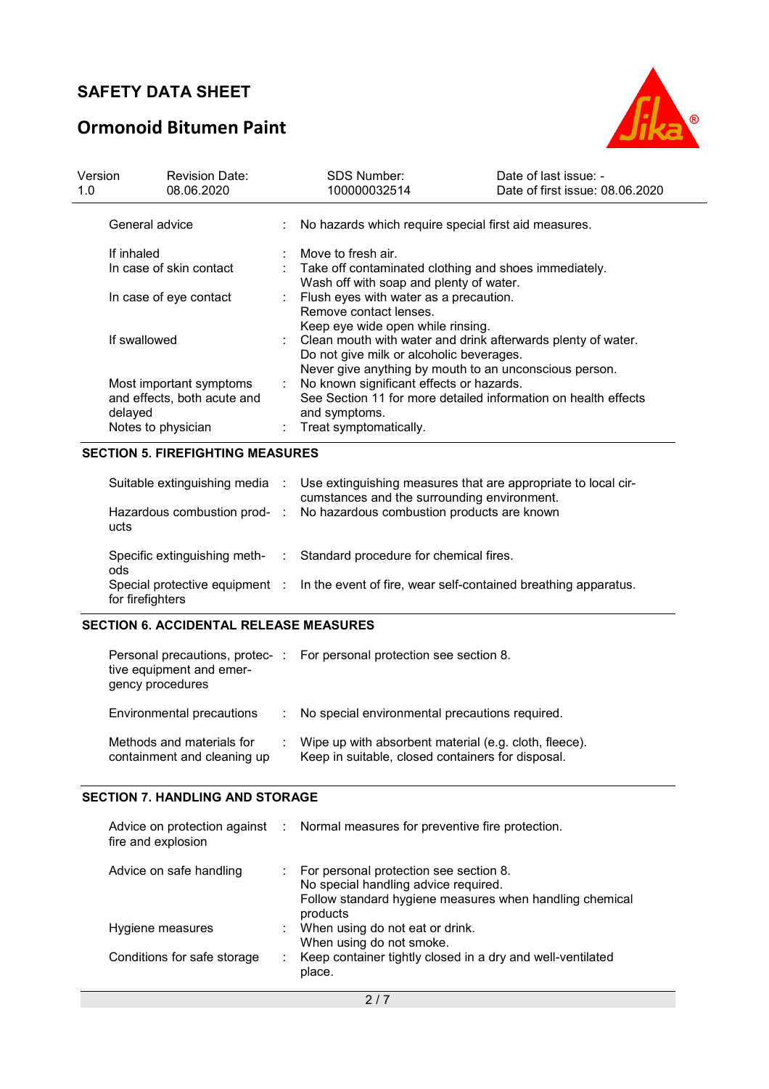# **Ormonoid Bitumen Paint**



| Version<br>1.0 | <b>Revision Date:</b><br>08.06.2020                                          |                           | <b>SDS Number:</b><br>100000032514                                                                                                                                   | Date of last issue: -<br>Date of first issue: 08.06.2020 |
|----------------|------------------------------------------------------------------------------|---------------------------|----------------------------------------------------------------------------------------------------------------------------------------------------------------------|----------------------------------------------------------|
| General advice |                                                                              |                           | No hazards which require special first aid measures.                                                                                                                 |                                                          |
| If inhaled     |                                                                              |                           | Move to fresh air.                                                                                                                                                   |                                                          |
|                | In case of skin contact                                                      |                           | : Take off contaminated clothing and shoes immediately.<br>Wash off with soap and plenty of water.                                                                   |                                                          |
|                | In case of eye contact                                                       |                           | Flush eyes with water as a precaution.<br>Remove contact lenses.<br>Keep eye wide open while rinsing.                                                                |                                                          |
| If swallowed   |                                                                              |                           | : Clean mouth with water and drink afterwards plenty of water.<br>Do not give milk or alcoholic beverages.<br>Never give anything by mouth to an unconscious person. |                                                          |
| delayed        | Most important symptoms<br>and effects, both acute and<br>Notes to physician | $\mathbb{Z}^{\mathbb{Z}}$ | No known significant effects or hazards.<br>See Section 11 for more detailed information on health effects<br>and symptoms.<br>Treat symptomatically.                |                                                          |

### **SECTION 5. FIREFIGHTING MEASURES**

| Suitable extinguishing media<br>Hazardous combustion prod-<br>ucts                        | ÷              | Use extinguishing measures that are appropriate to local cir-<br>cumstances and the surrounding environment.<br>No hazardous combustion products are known |
|-------------------------------------------------------------------------------------------|----------------|------------------------------------------------------------------------------------------------------------------------------------------------------------|
| Specific extinguishing meth-<br>ods<br>Special protective equipment :<br>for firefighters | <b>College</b> | Standard procedure for chemical fires.<br>In the event of fire, wear self-contained breathing apparatus.                                                   |

#### **SECTION 6. ACCIDENTAL RELEASE MEASURES**

| tive equipment and emer-<br>gency procedures             | Personal precautions, protec-: For personal protection see section 8.                                      |
|----------------------------------------------------------|------------------------------------------------------------------------------------------------------------|
| Environmental precautions                                | : No special environmental precautions required.                                                           |
| Methods and materials for<br>containment and cleaning up | Wipe up with absorbent material (e.g. cloth, fleece).<br>Keep in suitable, closed containers for disposal. |

### **SECTION 7. HANDLING AND STORAGE**

| fire and explosion          | Advice on protection against : Normal measures for preventive fire protection.                                                                          |
|-----------------------------|---------------------------------------------------------------------------------------------------------------------------------------------------------|
| Advice on safe handling     | : For personal protection see section 8.<br>No special handling advice required.<br>Follow standard hygiene measures when handling chemical<br>products |
| Hygiene measures            | : When using do not eat or drink.<br>When using do not smoke.                                                                                           |
| Conditions for safe storage | Keep container tightly closed in a dry and well-ventilated<br>place.                                                                                    |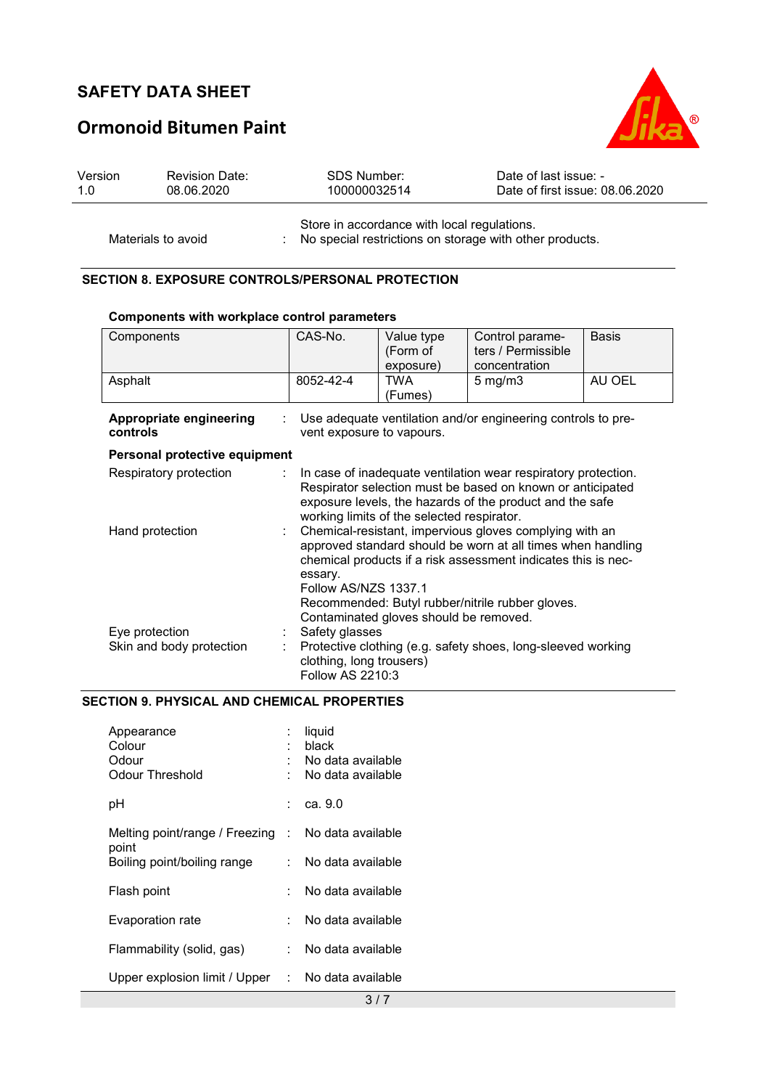# **Ormonoid Bitumen Paint**



| Version | <b>Revision Date:</b> |        | SDS Number:  |  | Date of last issue: -           |
|---------|-----------------------|--------|--------------|--|---------------------------------|
| 1.0     | 08.06.2020            |        | 100000032514 |  | Date of first issue: 08.06.2020 |
|         |                       | $\sim$ |              |  |                                 |

Store in accordance with local regulations. Materials to avoid : No special restrictions on storage with other products.

### **SECTION 8. EXPOSURE CONTROLS/PERSONAL PROTECTION**

#### **Components with workplace control parameters**

| Components                                 | CAS-No.                                                                                                                                                                                                                                                                                                                  | Value type<br>(Form of<br>exposure) | Control parame-<br>ters / Permissible<br>concentration | <b>Basis</b> |
|--------------------------------------------|--------------------------------------------------------------------------------------------------------------------------------------------------------------------------------------------------------------------------------------------------------------------------------------------------------------------------|-------------------------------------|--------------------------------------------------------|--------------|
| Asphalt                                    | 8052-42-4                                                                                                                                                                                                                                                                                                                | TWA<br>(Fumes)                      | $5 \text{ mg/m}$                                       | AU OEL       |
| Appropriate engineering<br>controls        | Use adequate ventilation and/or engineering controls to pre-<br>vent exposure to vapours.                                                                                                                                                                                                                                |                                     |                                                        |              |
| Personal protective equipment              |                                                                                                                                                                                                                                                                                                                          |                                     |                                                        |              |
| Respiratory protection                     | In case of inadequate ventilation wear respiratory protection.<br>Respirator selection must be based on known or anticipated<br>exposure levels, the hazards of the product and the safe<br>working limits of the selected respirator.                                                                                   |                                     |                                                        |              |
| Hand protection                            | Chemical-resistant, impervious gloves complying with an<br>approved standard should be worn at all times when handling<br>chemical products if a risk assessment indicates this is nec-<br>essary.<br>Follow AS/NZS 1337.1<br>Recommended: Butyl rubber/nitrile rubber gloves.<br>Contaminated gloves should be removed. |                                     |                                                        |              |
| Eye protection<br>Skin and body protection | Safety glasses<br>Protective clothing (e.g. safety shoes, long-sleeved working<br>clothing, long trousers)<br>Follow AS 2210:3                                                                                                                                                                                           |                                     |                                                        |              |

### **SECTION 9. PHYSICAL AND CHEMICAL PROPERTIES**

| Appearance<br>Colour<br>Odour<br>Odour Threshold | ÷. | liquid<br>black<br>No data available<br>No data available |
|--------------------------------------------------|----|-----------------------------------------------------------|
| рH                                               |    | ca. 9.0                                                   |
| Melting point/range / Freezing                   | t. | No data available                                         |
| point<br>Boiling point/boiling range             |    | No data available                                         |
| Flash point                                      |    | No data available                                         |
| Evaporation rate                                 |    | No data available                                         |
| Flammability (solid, gas)                        | ÷. | No data available                                         |
| Upper explosion limit / Upper                    | ÷. | No data available                                         |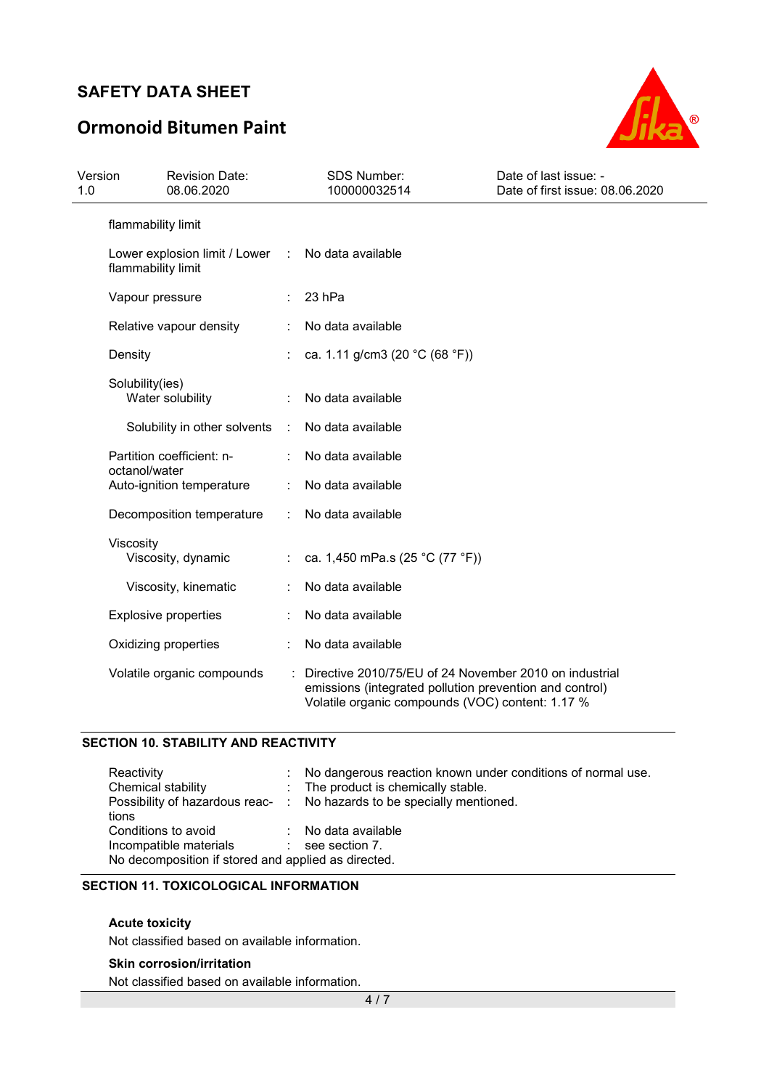# **Ormonoid Bitumen Paint**



| Version<br>1.0 | <b>Revision Date:</b><br>08.06.2020                   |           | <b>SDS Number:</b><br>100000032514                                                                                                                                    | Date of last issue: -<br>Date of first issue: 08.06.2020 |
|----------------|-------------------------------------------------------|-----------|-----------------------------------------------------------------------------------------------------------------------------------------------------------------------|----------------------------------------------------------|
|                | flammability limit                                    |           |                                                                                                                                                                       |                                                          |
|                | Lower explosion limit / Lower :<br>flammability limit |           | No data available                                                                                                                                                     |                                                          |
|                | Vapour pressure                                       |           | 23 hPa                                                                                                                                                                |                                                          |
|                | Relative vapour density                               |           | No data available                                                                                                                                                     |                                                          |
|                | Density                                               |           | ca. 1.11 g/cm3 (20 °C (68 °F))                                                                                                                                        |                                                          |
|                | Solubility(ies)<br>Water solubility                   |           | No data available                                                                                                                                                     |                                                          |
|                | Solubility in other solvents                          | $\sim 10$ | No data available                                                                                                                                                     |                                                          |
|                | Partition coefficient: n-                             |           | No data available                                                                                                                                                     |                                                          |
|                | octanol/water<br>Auto-ignition temperature            |           | No data available                                                                                                                                                     |                                                          |
|                | Decomposition temperature                             |           | No data available                                                                                                                                                     |                                                          |
|                | Viscosity<br>Viscosity, dynamic                       |           | ca. 1,450 mPa.s (25 °C (77 °F))                                                                                                                                       |                                                          |
|                | Viscosity, kinematic                                  |           | No data available                                                                                                                                                     |                                                          |
|                | <b>Explosive properties</b>                           |           | No data available                                                                                                                                                     |                                                          |
|                | Oxidizing properties                                  |           | No data available                                                                                                                                                     |                                                          |
|                | Volatile organic compounds                            |           | Directive 2010/75/EU of 24 November 2010 on industrial<br>emissions (integrated pollution prevention and control)<br>Volatile organic compounds (VOC) content: 1.17 % |                                                          |

### **SECTION 10. STABILITY AND REACTIVITY**

| Reactivity                                          |  | : No dangerous reaction known under conditions of normal use.          |  |
|-----------------------------------------------------|--|------------------------------------------------------------------------|--|
| Chemical stability                                  |  | : The product is chemically stable.                                    |  |
|                                                     |  | Possibility of hazardous reac- : No hazards to be specially mentioned. |  |
| tions                                               |  |                                                                        |  |
| Conditions to avoid                                 |  | : No data available                                                    |  |
| Incompatible materials                              |  | $\therefore$ see section 7.                                            |  |
| No decomposition if stored and applied as directed. |  |                                                                        |  |

### **SECTION 11. TOXICOLOGICAL INFORMATION**

#### **Acute toxicity**

Not classified based on available information.

#### **Skin corrosion/irritation**

Not classified based on available information.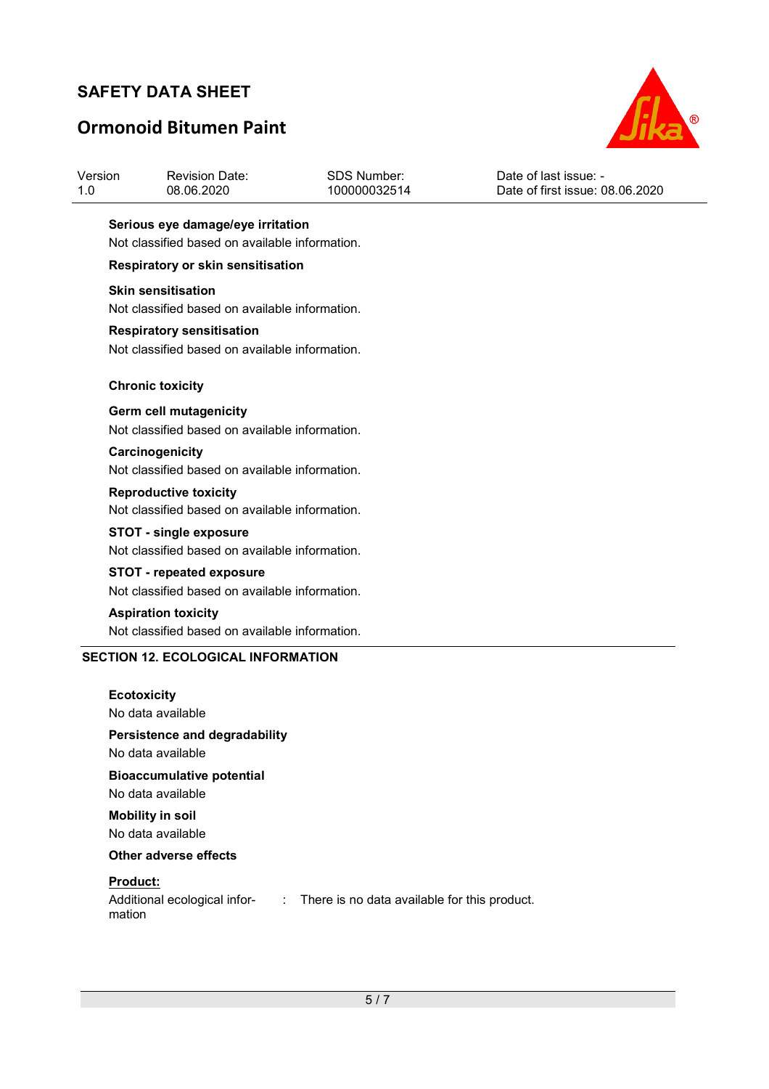# **Ormonoid Bitumen Paint**



| Version | <b>Revision Date:</b> | SDS Number:  | Date of last issue: -           |
|---------|-----------------------|--------------|---------------------------------|
| 1.0     | 08.06.2020            | 100000032514 | Date of first issue: 08.06.2020 |
|         |                       |              |                                 |

#### **Serious eye damage/eye irritation**  Not classified based on available information.

#### **Respiratory or skin sensitisation**

#### **Skin sensitisation**

Not classified based on available information.

#### **Respiratory sensitisation**

Not classified based on available information.

#### **Chronic toxicity**

#### **Germ cell mutagenicity**

Not classified based on available information.

#### **Carcinogenicity**  Not classified based on available information.

**Reproductive toxicity**  Not classified based on available information.

#### **STOT - single exposure**

Not classified based on available information.

### **STOT - repeated exposure**

Not classified based on available information.

#### **Aspiration toxicity**  Not classified based on available information.

#### **SECTION 12. ECOLOGICAL INFORMATION**

# **Ecotoxicity**

No data available

### **Persistence and degradability**

No data available

# **Bioaccumulative potential**

No data available

#### **Mobility in soil**  No data available

#### **Other adverse effects**

### **Product:**

Additional ecological infor-: There is no data available for this product. mation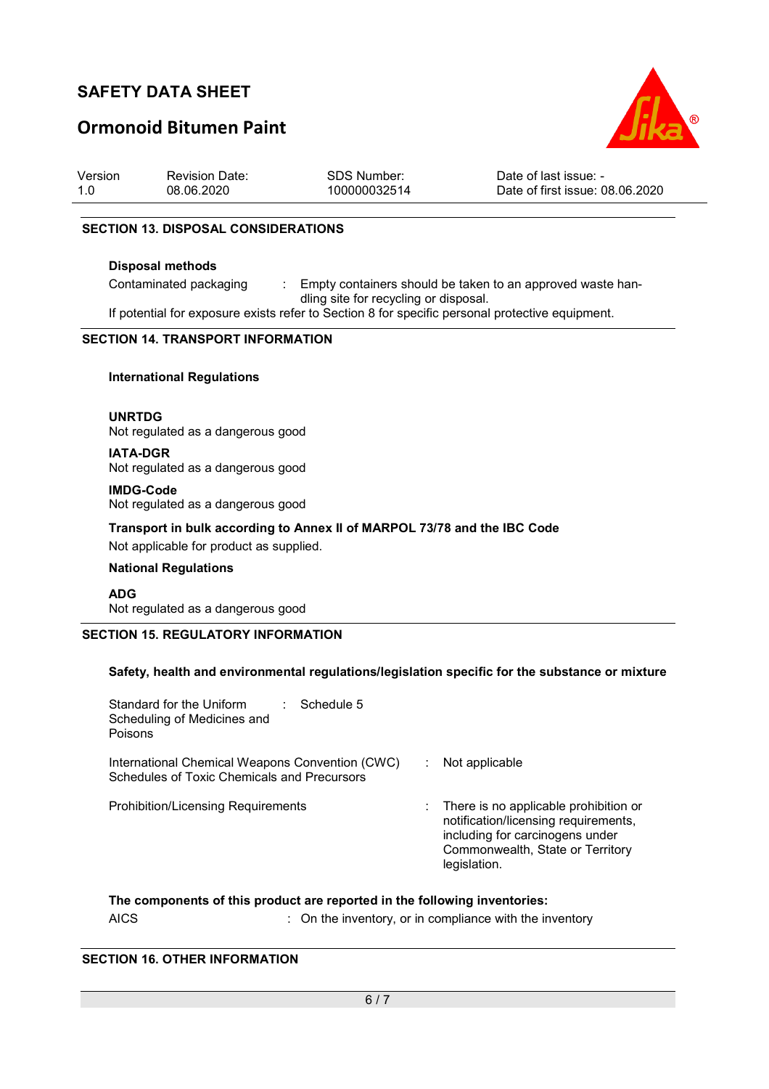# **Ormonoid Bitumen Paint**



| Version | <b>Revision Date:</b> | <b>SDS Number:</b> | Date of last issue: -           |
|---------|-----------------------|--------------------|---------------------------------|
| 1.0     | 08.06.2020            | 100000032514       | Date of first issue: 08.06.2020 |

#### **SECTION 13. DISPOSAL CONSIDERATIONS**

#### **Disposal methods**

Contaminated packaging : Empty containers should be taken to an approved waste handling site for recycling or disposal.

If potential for exposure exists refer to Section 8 for specific personal protective equipment.

#### **SECTION 14. TRANSPORT INFORMATION**

#### **International Regulations**

**UNRTDG** Not regulated as a dangerous good

**IATA-DGR** Not regulated as a dangerous good

**IMDG-Code** Not regulated as a dangerous good

**Transport in bulk according to Annex II of MARPOL 73/78 and the IBC Code** 

Not applicable for product as supplied.

#### **National Regulations**

**ADG** Not regulated as a dangerous good

#### **SECTION 15. REGULATORY INFORMATION**

#### **Safety, health and environmental regulations/legislation specific for the substance or mixture**

| Standard for the Uniform<br>Schedule 5<br>Scheduling of Medicines and<br>Poisons               |                                                                                                                                                                      |
|------------------------------------------------------------------------------------------------|----------------------------------------------------------------------------------------------------------------------------------------------------------------------|
| International Chemical Weapons Convention (CWC)<br>Schedules of Toxic Chemicals and Precursors | Not applicable                                                                                                                                                       |
| <b>Prohibition/Licensing Requirements</b>                                                      | There is no applicable prohibition or<br>notification/licensing requirements,<br>including for carcinogens under<br>Commonwealth, State or Territory<br>legislation. |

# **The components of this product are reported in the following inventories:**

# AICS **EXECUTE:** On the inventory, or in compliance with the inventory

### **SECTION 16. OTHER INFORMATION**